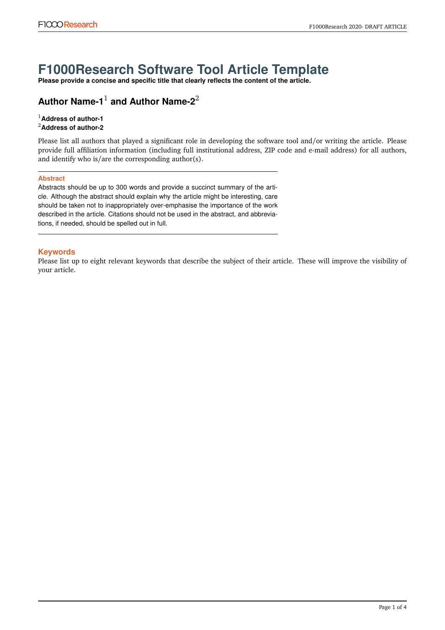## **F1000Research Software Tool Article Template**

**Please provide a concise and specific title that clearly reflects the content of the article.**

### **Author Name-1**<sup>1</sup> **and Author Name-2**<sup>2</sup>

#### <sup>1</sup>**Address of author-1** <sup>2</sup>**Address of author-2**

Please list all authors that played a significant role in developing the software tool and/or writing the article. Please provide full affiliation information (including full institutional address, ZIP code and e-mail address) for all authors, and identify who is/are the corresponding author(s).

#### **Abstract**

Abstracts should be up to 300 words and provide a succinct summary of the article. Although the abstract should explain why the article might be interesting, care should be taken not to inappropriately over-emphasise the importance of the work described in the article. Citations should not be used in the abstract, and abbreviations, if needed, should be spelled out in full.

#### **Keywords**

Please list up to eight relevant keywords that describe the subject of their article. These will improve the visibility of your article.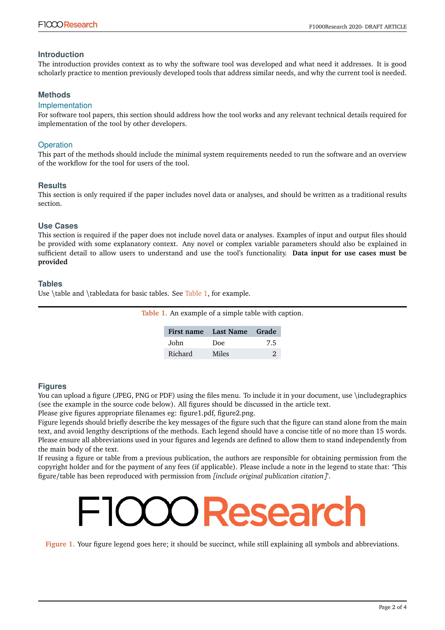#### **Introduction**

The introduction provides context as to why the software tool was developed and what need it addresses. It is good scholarly practice to mention previously developed tools that address similar needs, and why the current tool is needed.

#### **Methods**

#### Implementation

For software tool papers, this section should address how the tool works and any relevant technical details required for implementation of the tool by other developers.

#### **Operation**

This part of the methods should include the minimal system requirements needed to run the software and an overview of the workflow for the tool for users of the tool.

#### **Results**

This section is only required if the paper includes novel data or analyses, and should be written as a traditional results section.

#### **Use Cases**

This section is required if the paper does not include novel data or analyses. Examples of input and output files should be provided with some explanatory context. Any novel or complex variable parameters should also be explained in sufficient detail to allow users to understand and use the tool's functionality. **Data input for use cases must be provided**

#### **Tables**

<span id="page-1-0"></span>Use \table and \tabledata for basic tables. See [Table 1,](#page-1-0) for example.

| Table 1. An example of a simple table with caption. |  |
|-----------------------------------------------------|--|
|-----------------------------------------------------|--|

|         | First name Last Name Grade |     |
|---------|----------------------------|-----|
| John    | Doe                        | 7.5 |
| Richard | Miles                      |     |

#### **Figures**

You can upload a figure (JPEG, PNG or PDF) using the files menu. To include it in your document, use \includegraphics (see the example in the source code below). All figures should be discussed in the article text.

Please give figures appropriate filenames eg: figure1.pdf, figure2.png.

Figure legends should briefly describe the key messages of the figure such that the figure can stand alone from the main text, and avoid lengthy descriptions of the methods. Each legend should have a concise title of no more than 15 words. Please ensure all abbreviations used in your figures and legends are defined to allow them to stand independently from the main body of the text.

If reusing a figure or table from a previous publication, the authors are responsible for obtaining permission from the copyright holder and for the payment of any fees (if applicable). Please include a note in the legend to state that: 'This figure/table has been reproduced with permission from *[include original publication citation]*'.

# X) Researc

Figure 1. Your figure legend goes here; it should be succinct, while still explaining all symbols and abbreviations.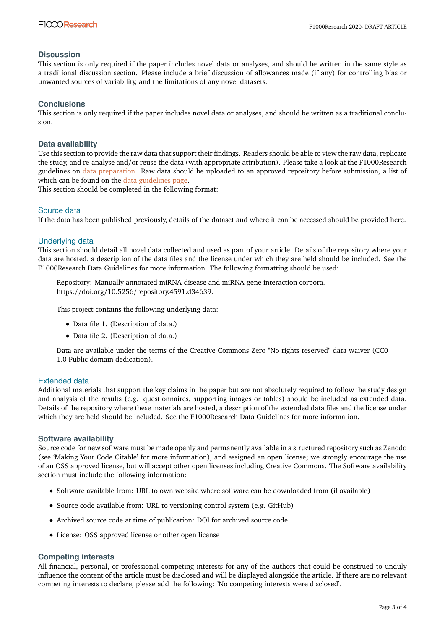#### **Discussion**

This section is only required if the paper includes novel data or analyses, and should be written in the same style as a traditional discussion section. Please include a brief discussion of allowances made (if any) for controlling bias or unwanted sources of variability, and the limitations of any novel datasets.

#### **Conclusions**

This section is only required if the paper includes novel data or analyses, and should be written as a traditional conclusion.

#### **Data availability**

Use this section to provide the raw data that support their findings. Readers should be able to view the raw data, replicate the study, and re-analyse and/or reuse the data (with appropriate attribution). Please take a look at the F1000Research guidelines on [data preparation.](https://www.f1000research.com/for-authors/data-guidelines) Raw data should be uploaded to an approved repository before submission, a list of which can be found on the [data guidelines page.](https://f1000research.com/for-authors/data-guidelines#hosting)

This section should be completed in the following format:

#### Source data

If the data has been published previously, details of the dataset and where it can be accessed should be provided here.

#### Underlying data

This section should detail all novel data collected and used as part of your article. Details of the repository where your data are hosted, a description of the data files and the license under which they are held should be included. See the F1000Research Data Guidelines for more information. The following formatting should be used:

Repository: Manually annotated miRNA-disease and miRNA-gene interaction corpora. https://doi.org/10.5256/repository.4591.d34639.

This project contains the following underlying data:

- Data file 1. (Description of data.)
- Data file 2. (Description of data.)

Data are available under the terms of the Creative Commons Zero "No rights reserved" data waiver (CC0 1.0 Public domain dedication).

#### Extended data

Additional materials that support the key claims in the paper but are not absolutely required to follow the study design and analysis of the results (e.g. questionnaires, supporting images or tables) should be included as extended data. Details of the repository where these materials are hosted, a description of the extended data files and the license under which they are held should be included. See the F1000Research Data Guidelines for more information.

#### **Software availability**

Source code for new software must be made openly and permanently available in a structured repository such as Zenodo (see 'Making Your Code Citable' for more information), and assigned an open license; we strongly encourage the use of an OSS approved license, but will accept other open licenses including Creative Commons. The Software availability section must include the following information:

- Software available from: URL to own website where software can be downloaded from (if available)
- Source code available from: URL to versioning control system (e.g. GitHub)
- Archived source code at time of publication: DOI for archived source code
- License: OSS approved license or other open license

#### **Competing interests**

All financial, personal, or professional competing interests for any of the authors that could be construed to unduly influence the content of the article must be disclosed and will be displayed alongside the article. If there are no relevant competing interests to declare, please add the following: 'No competing interests were disclosed'.